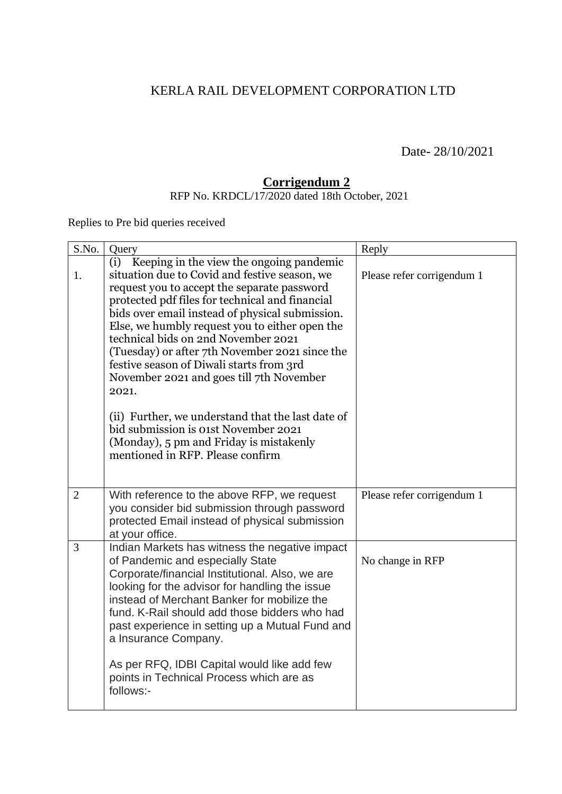## KERLA RAIL DEVELOPMENT CORPORATION LTD

Date- 28/10/2021

## **Corrigendum 2**

RFP No. KRDCL/17/2020 dated 18th October, 2021

Replies to Pre bid queries received

| S.No.          | Query                                                                                                                                                                                                                                                                                                                                                                                                                                                                                                                                                                                                                                                                      | Reply                      |
|----------------|----------------------------------------------------------------------------------------------------------------------------------------------------------------------------------------------------------------------------------------------------------------------------------------------------------------------------------------------------------------------------------------------------------------------------------------------------------------------------------------------------------------------------------------------------------------------------------------------------------------------------------------------------------------------------|----------------------------|
| 1.             | (i) Keeping in the view the ongoing pandemic<br>situation due to Covid and festive season, we<br>request you to accept the separate password<br>protected pdf files for technical and financial<br>bids over email instead of physical submission.<br>Else, we humbly request you to either open the<br>technical bids on 2nd November 2021<br>(Tuesday) or after 7th November 2021 since the<br>festive season of Diwali starts from 3rd<br>November 2021 and goes till 7th November<br>2021.<br>(ii) Further, we understand that the last date of<br>bid submission is 01st November 2021<br>(Monday), 5 pm and Friday is mistakenly<br>mentioned in RFP. Please confirm | Please refer corrigendum 1 |
| $\overline{2}$ | With reference to the above RFP, we request<br>you consider bid submission through password<br>protected Email instead of physical submission<br>at your office.                                                                                                                                                                                                                                                                                                                                                                                                                                                                                                           | Please refer corrigendum 1 |
| 3              | Indian Markets has witness the negative impact<br>of Pandemic and especially State<br>Corporate/financial Institutional. Also, we are<br>looking for the advisor for handling the issue<br>instead of Merchant Banker for mobilize the<br>fund. K-Rail should add those bidders who had<br>past experience in setting up a Mutual Fund and<br>a Insurance Company.<br>As per RFQ, IDBI Capital would like add few<br>points in Technical Process which are as<br>follows:-                                                                                                                                                                                                 | No change in RFP           |